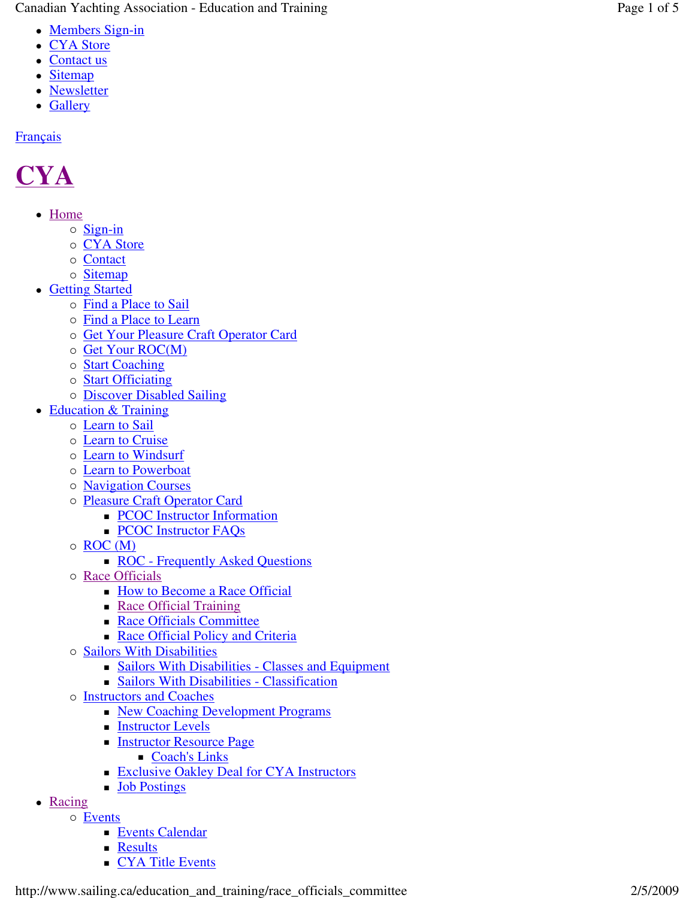Canadian Yachting Association - Education and Training Page 1 of 5

- Members Sign-in
- CYA Store
- Contact us
- Sitemap
- Newsletter
- Gallery

## **Français**

## **CYA**

- Home
	- o Sign-in
	- o CYA Store
	- o Contact
	- o Sitemap
- Getting Started
	- o Find a Place to Sail
	- o Find a Place to Learn
	- o Get Your Pleasure Craft Operator Card
	- o Get Your ROC(M)
	- o **Start Coaching**
	- o **Start Officiating**
	- o **Discover Disabled Sailing**
- Education & Training
	- o **Learn to Sail** 
		- o **Learn to Cruise**
		- o Learn to Windsurf
		- o **Learn to Powerboat**
		- o **Navigation Courses**
		- o Pleasure Craft Operator Card
			- **PCOC** Instructor Information
			- **PCOC Instructor FAQs**
		- o ROC (M)
			- ROC Frequently Asked Questions
		- o Race Officials
			- **How to Become a Race Official**
			- Race Official Training
			- **Race Officials Committee**
			- Race Official Policy and Criteria
		- o Sailors With Disabilities
			- Sailors With Disabilities Classes and Equipment
			- Sailors With Disabilities Classification
		- o **Instructors and Coaches** 
			- New Coaching Development Programs
			- **Instructor Levels**
			- **Instructor Resource Page** 
				- Coach's Links
			- **Exclusive Oakley Deal for CYA Instructors**
			- **Job Postings**
- Racing
	- o Events
		- **Events Calendar**
		- **Results**
		- **CYA Title Events**

http://www.sailing.ca/education\_and\_training/race\_officials\_committee 2/5/2009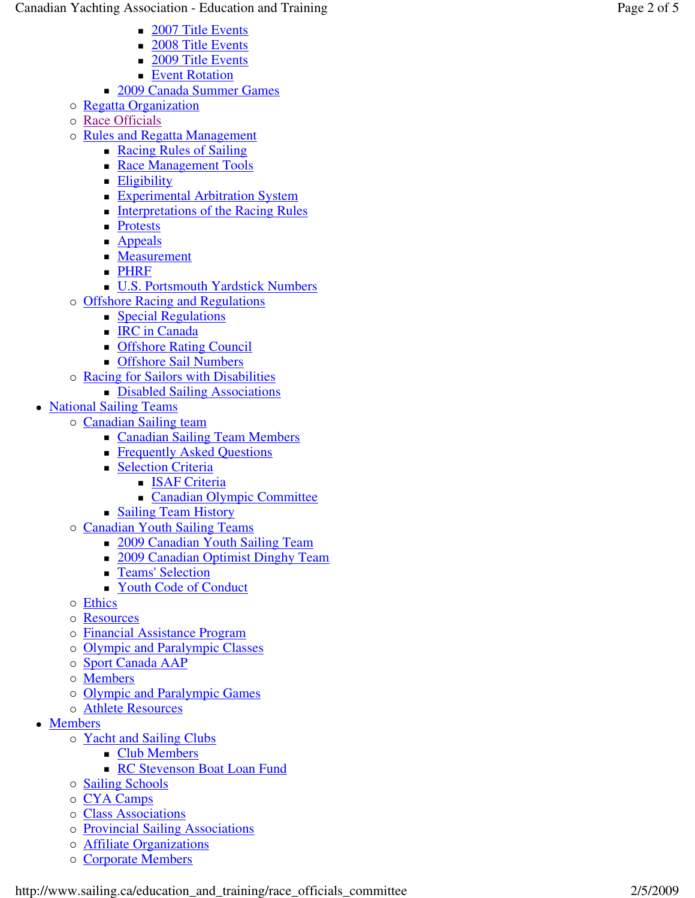- 2007 Title Events
- 2008 Title Events
- 2009 Title Events
- **Event Rotation**
- **2009 Canada Summer Games**
- o Regatta Organization
- o Race Officials
- o Rules and Regatta Management
	- Racing Rules of Sailing
	- Race Management Tools
	- **Eligibility**
	- **Experimental Arbitration System**
	- **Interpretations of the Racing Rules**
	- **Protests**
	- **Appeals**
	- **Measurement**
	- **PHRF**
	- U.S. Portsmouth Yardstick Numbers
- o Offshore Racing and Regulations
	- **Special Regulations**
	- **IRC** in Canada
	- **COLLEGE** Council
	- **Configure Sail Numbers**
- o Racing for Sailors with Disabilities
	- Disabled Sailing Associations
- National Sailing Teams
	- o Canadian Sailing team
		- **Canadian Sailing Team Members**
		- **Figure 4** Frequently Asked Questions
		- **Selection Criteria** 
			- **ISAF Criteria**
			- Canadian Olympic Committee
		- **Sailing Team History**
	- o Canadian Youth Sailing Teams
		- 2009 Canadian Youth Sailing Team
		- 2009 Canadian Optimist Dinghy Team
		- **Teams' Selection**
		- Youth Code of Conduct
	- o Ethics
	- o Resources
	- o Financial Assistance Program
	- o Olympic and Paralympic Classes
	- o Sport Canada AAP
	- o **Members**
	- o Olympic and Paralympic Games
	- o **Athlete Resources**
- Members
	- o Yacht and Sailing Clubs
		- **Club Members**
		- **RC Stevenson Boat Loan Fund**
	- o **Sailing Schools**
	- o CYA Camps
	- o Class Associations
	- o Provincial Sailing Associations
	- o **Affiliate Organizations**
	- o Corporate Members

http://www.sailing.ca/education\_and\_training/race\_officials\_committee 2/5/2009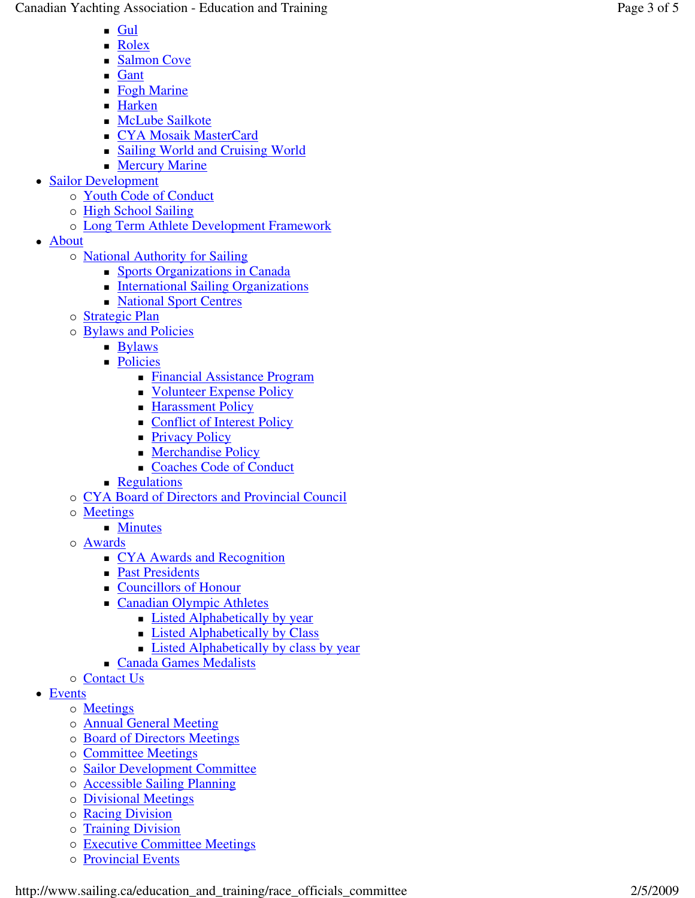Canadian Yachting Association - Education and Training Page Page

- $\blacksquare$  Gul
- **Rolex**
- Salmon Cove
- **Gant**
- Fogh Marine
- Harken
- **McLube Sailkote**
- CYA Mosaik MasterCard
- Sailing World and Cruising World **Mercury Marine**
- Sailor Development
	- o Youth Code of Conduct
	- o High School Sailing
	- o Long Term Athlete Development Framework
- About
	- o **National Authority for Sailing** 
		- Sports Organizations in Canada
		- **International Sailing Organizations**
		- **National Sport Centres**
	- o **Strategic Plan**
	- o **Bylaws and Policies** 
		- **Bylaws**
		- **Policies** 
			- Financial Assistance Program
			- Volunteer Expense Policy
			- **Harassment Policy**
			- Conflict of Interest Policy
			- **Privacy Policy**
			- **Merchandise Policy**
			- Coaches Code of Conduct
		- **Regulations**
	- o CYA Board of Directors and Provincial Council
	- o Meetings
		- **Minutes**
	- o Awards
		- CYA Awards and Recognition
		- **Past Presidents**
		- Councillors of Honour
		- **Canadian Olympic Athletes** 
			- **Listed Alphabetically by year**
			- **Example 1** Listed Alphabetically by Class
			- **Listed Alphabetically by class by year**
		- Canada Games Medalists
	- o Contact Us
- Events
	- o **Meetings**
	- o **Annual General Meeting**
	- o Board of Directors Meetings
	- o Committee Meetings
	- o Sailor Development Committee
	- o **Accessible Sailing Planning**
	- o Divisional Meetings
	- o Racing Division
	- o Training Division
	- o Executive Committee Meetings
	- o Provincial Events

http://www.sailing.ca/education\_and\_training/race\_officials\_committee 2/5/2009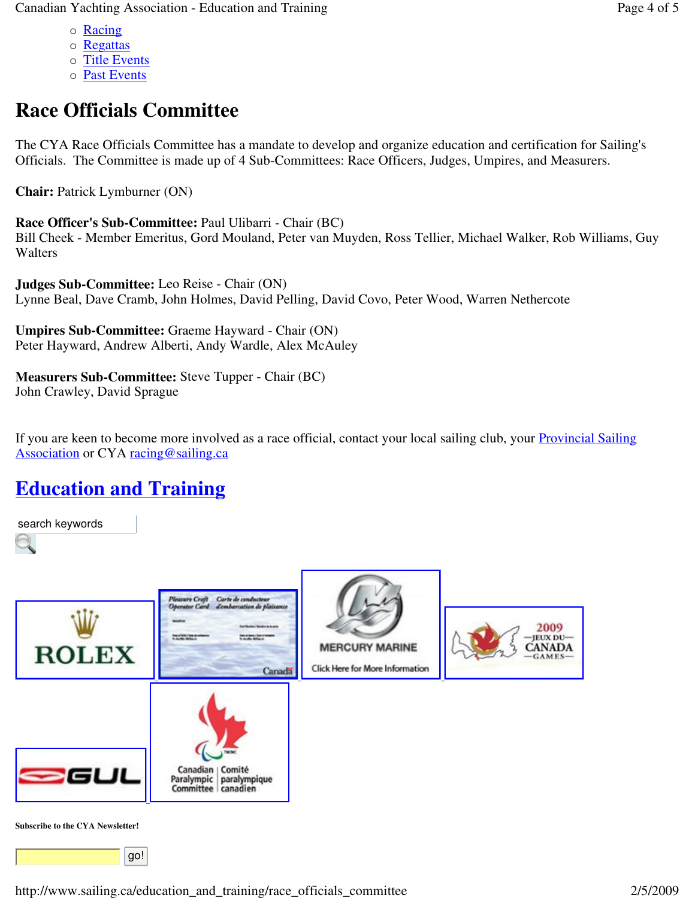- o Racing
- o Regattas
- o Title Events
- o **Past Events**

## **Race Officials Committee**

The CYA Race Officials Committee has a mandate to develop and organize education and certification for Sailing's Officials. The Committee is made up of 4 Sub-Committees: Race Officers, Judges, Umpires, and Measurers.

**Chair:** Patrick Lymburner (ON)

**Race Officer's Sub-Committee:** Paul Ulibarri - Chair (BC) Bill Cheek - Member Emeritus, Gord Mouland, Peter van Muyden, Ross Tellier, Michael Walker, Rob Williams, Guy Walters

**Judges Sub-Committee:** Leo Reise - Chair (ON) Lynne Beal, Dave Cramb, John Holmes, David Pelling, David Covo, Peter Wood, Warren Nethercote

**Umpires Sub-Committee:** Graeme Hayward - Chair (ON) Peter Hayward, Andrew Alberti, Andy Wardle, Alex McAuley

**Measurers Sub-Committee:** Steve Tupper - Chair (BC) John Crawley, David Sprague

If you are keen to become more involved as a race official, contact your local sailing club, your Provincial Sailing Association or CYA racing@sailing.ca

## **Education and Training**

search keywords



**Subscribe to the CYA Newsletter!**